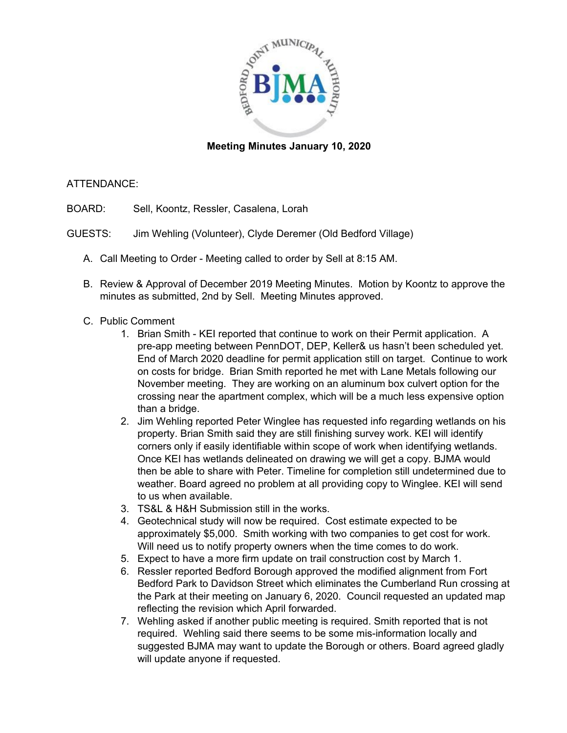

### **Meeting Minutes January 10, 2020**

#### ATTENDANCE:

BOARD: Sell, Koontz, Ressler, Casalena, Lorah

- GUESTS: Jim Wehling (Volunteer), Clyde Deremer (Old Bedford Village)
	- A. Call Meeting to Order Meeting called to order by Sell at 8:15 AM.
	- B. Review & Approval of December 2019 Meeting Minutes. Motion by Koontz to approve the minutes as submitted, 2nd by Sell. Meeting Minutes approved.
	- C. Public Comment
		- 1. Brian Smith KEI reported that continue to work on their Permit application. A pre-app meeting between PennDOT, DEP, Keller& us hasn't been scheduled yet. End of March 2020 deadline for permit application still on target. Continue to work on costs for bridge. Brian Smith reported he met with Lane Metals following our November meeting. They are working on an aluminum box culvert option for the crossing near the apartment complex, which will be a much less expensive option than a bridge.
		- 2. Jim Wehling reported Peter Winglee has requested info regarding wetlands on his property. Brian Smith said they are still finishing survey work. KEI will identify corners only if easily identifiable within scope of work when identifying wetlands. Once KEI has wetlands delineated on drawing we will get a copy. BJMA would then be able to share with Peter. Timeline for completion still undetermined due to weather. Board agreed no problem at all providing copy to Winglee. KEI will send to us when available.
		- 3. TS&L & H&H Submission still in the works.
		- 4. Geotechnical study will now be required. Cost estimate expected to be approximately \$5,000. Smith working with two companies to get cost for work. Will need us to notify property owners when the time comes to do work.
		- 5. Expect to have a more firm update on trail construction cost by March 1.
		- 6. Ressler reported Bedford Borough approved the modified alignment from Fort Bedford Park to Davidson Street which eliminates the Cumberland Run crossing at the Park at their meeting on January 6, 2020. Council requested an updated map reflecting the revision which April forwarded.
		- 7. Wehling asked if another public meeting is required. Smith reported that is not required. Wehling said there seems to be some mis-information locally and suggested BJMA may want to update the Borough or others. Board agreed gladly will update anyone if requested.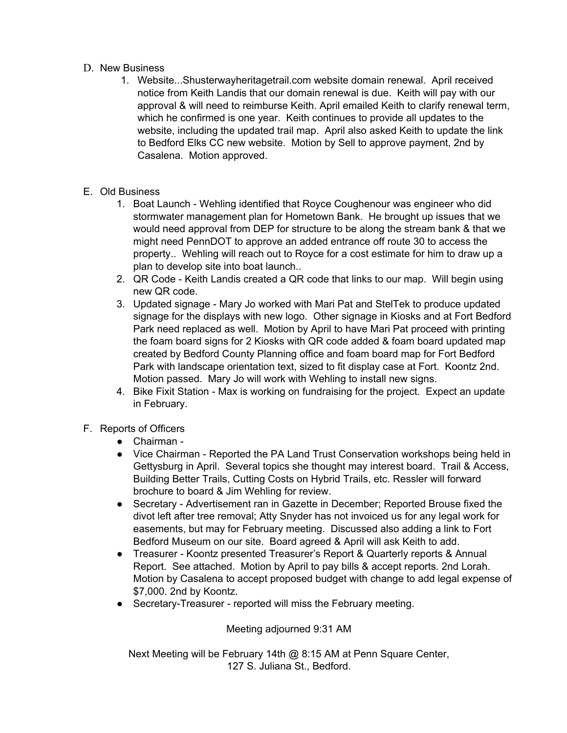### D. New Business

- 1. Website...Shusterwayheritagetrail.com website domain renewal. April received notice from Keith Landis that our domain renewal is due. Keith will pay with our approval & will need to reimburse Keith. April emailed Keith to clarify renewal term, which he confirmed is one year. Keith continues to provide all updates to the website, including the updated trail map. April also asked Keith to update the link to Bedford Elks CC new website. Motion by Sell to approve payment, 2nd by Casalena. Motion approved.
- E. Old Business
	- 1. Boat Launch Wehling identified that Royce Coughenour was engineer who did stormwater management plan for Hometown Bank. He brought up issues that we would need approval from DEP for structure to be along the stream bank & that we might need PennDOT to approve an added entrance off route 30 to access the property.. Wehling will reach out to Royce for a cost estimate for him to draw up a plan to develop site into boat launch..
	- 2. QR Code Keith Landis created a QR code that links to our map. Will begin using new QR code.
	- 3. Updated signage Mary Jo worked with Mari Pat and StelTek to produce updated signage for the displays with new logo. Other signage in Kiosks and at Fort Bedford Park need replaced as well. Motion by April to have Mari Pat proceed with printing the foam board signs for 2 Kiosks with QR code added & foam board updated map created by Bedford County Planning office and foam board map for Fort Bedford Park with landscape orientation text, sized to fit display case at Fort. Koontz 2nd. Motion passed. Mary Jo will work with Wehling to install new signs.
	- 4. Bike Fixit Station Max is working on fundraising for the project. Expect an update in February.

# F. Reports of Officers

- Chairman -
- Vice Chairman Reported the PA Land Trust Conservation workshops being held in Gettysburg in April. Several topics she thought may interest board. Trail & Access, Building Better Trails, Cutting Costs on Hybrid Trails, etc. Ressler will forward brochure to board & Jim Wehling for review.
- Secretary Advertisement ran in Gazette in December; Reported Brouse fixed the divot left after tree removal; Atty Snyder has not invoiced us for any legal work for easements, but may for February meeting. Discussed also adding a link to Fort Bedford Museum on our site. Board agreed & April will ask Keith to add.
- Treasurer Koontz presented Treasurer's Report & Quarterly reports & Annual Report. See attached. Motion by April to pay bills & accept reports. 2nd Lorah. Motion by Casalena to accept proposed budget with change to add legal expense of \$7,000. 2nd by Koontz.
- Secretary-Treasurer reported will miss the February meeting.

# Meeting adjourned 9:31 AM

Next Meeting will be February 14th @ 8:15 AM at Penn Square Center, 127 S. Juliana St., Bedford.